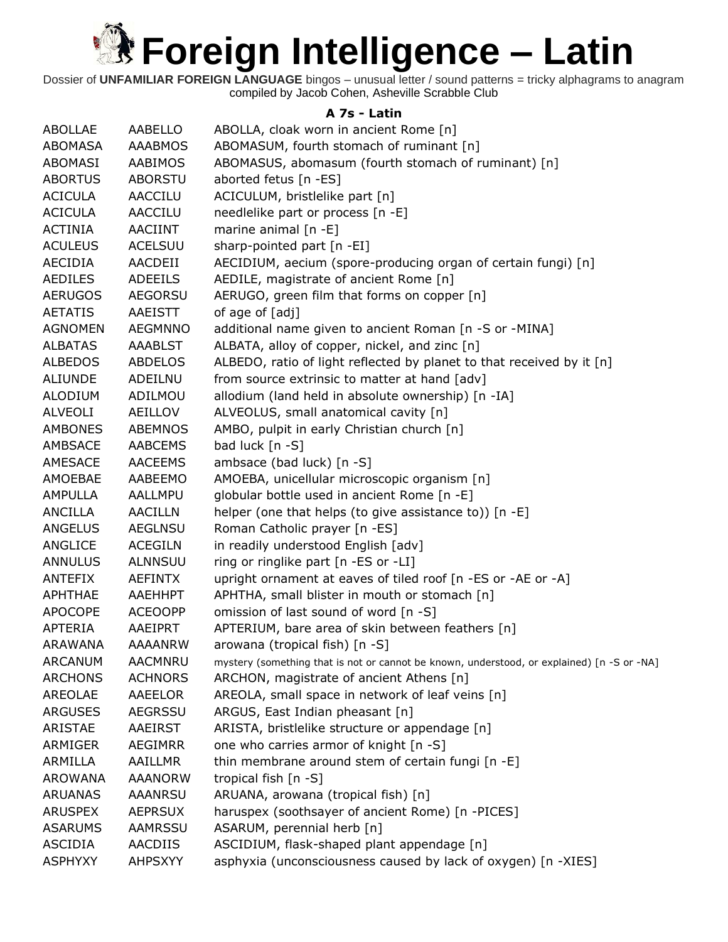

Dossier of **UNFAMILIAR FOREIGN LANGUAGE** bingos – unusual letter / sound patterns = tricky alphagrams to anagram compiled by Jacob Cohen, Asheville Scrabble Club

### **A 7s - Latin**

| <b>ABOLLAE</b> | <b>AABELLO</b> | ABOLLA, cloak worn in ancient Rome [n]                                                     |
|----------------|----------------|--------------------------------------------------------------------------------------------|
| ABOMASA        | <b>AAABMOS</b> | ABOMASUM, fourth stomach of ruminant [n]                                                   |
| ABOMASI        | AABIMOS        | ABOMASUS, abomasum (fourth stomach of ruminant) [n]                                        |
| <b>ABORTUS</b> | <b>ABORSTU</b> | aborted fetus [n -ES]                                                                      |
| <b>ACICULA</b> | AACCILU        | ACICULUM, bristlelike part [n]                                                             |
| <b>ACICULA</b> | <b>AACCILU</b> | needlelike part or process [n -E]                                                          |
| <b>ACTINIA</b> | AACIINT        | marine animal $[n -E]$                                                                     |
| <b>ACULEUS</b> | <b>ACELSUU</b> | sharp-pointed part [n -EI]                                                                 |
| AECIDIA        | AACDEII        | AECIDIUM, aecium (spore-producing organ of certain fungi) [n]                              |
| <b>AEDILES</b> | <b>ADEEILS</b> | AEDILE, magistrate of ancient Rome [n]                                                     |
| <b>AERUGOS</b> | <b>AEGORSU</b> | AERUGO, green film that forms on copper [n]                                                |
| <b>AETATIS</b> | AAEISTT        | of age of [adj]                                                                            |
| <b>AGNOMEN</b> | <b>AEGMNNO</b> | additional name given to ancient Roman [n -S or -MINA]                                     |
| <b>ALBATAS</b> | <b>AAABLST</b> | ALBATA, alloy of copper, nickel, and zinc [n]                                              |
| <b>ALBEDOS</b> | <b>ABDELOS</b> | ALBEDO, ratio of light reflected by planet to that received by it [n]                      |
| <b>ALIUNDE</b> | ADEILNU        | from source extrinsic to matter at hand [adv]                                              |
| <b>ALODIUM</b> | ADILMOU        | allodium (land held in absolute ownership) [n -IA]                                         |
| <b>ALVEOLI</b> | AEILLOV        | ALVEOLUS, small anatomical cavity [n]                                                      |
| <b>AMBONES</b> | <b>ABEMNOS</b> | AMBO, pulpit in early Christian church [n]                                                 |
| AMBSACE        | <b>AABCEMS</b> | bad luck [n -S]                                                                            |
| AMESACE        | <b>AACEEMS</b> | ambsace (bad luck) [n -S]                                                                  |
| AMOEBAE        | AABEEMO        | AMOEBA, unicellular microscopic organism [n]                                               |
| <b>AMPULLA</b> | AALLMPU        | globular bottle used in ancient Rome [n -E]                                                |
| <b>ANCILLA</b> | <b>AACILLN</b> | helper (one that helps (to give assistance to)) [n -E]                                     |
| <b>ANGELUS</b> | <b>AEGLNSU</b> | Roman Catholic prayer [n -ES]                                                              |
| ANGLICE        | <b>ACEGILN</b> | in readily understood English [adv]                                                        |
| <b>ANNULUS</b> | <b>ALNNSUU</b> | ring or ringlike part [n -ES or -LI]                                                       |
| <b>ANTEFIX</b> | <b>AEFINTX</b> | upright ornament at eaves of tiled roof [n -ES or -AE or -A]                               |
| APHTHAE        | AAEHHPT        | APHTHA, small blister in mouth or stomach [n]                                              |
| <b>APOCOPE</b> | <b>ACEOOPP</b> | omission of last sound of word [n -S]                                                      |
| <b>APTERIA</b> | AAEIPRT        | APTERIUM, bare area of skin between feathers [n]                                           |
| <b>ARAWANA</b> | <b>AAAANRW</b> | arowana (tropical fish) [n -S]                                                             |
| <b>ARCANUM</b> | AACMNRU        | mystery (something that is not or cannot be known, understood, or explained) [n -S or -NA] |
| <b>ARCHONS</b> | <b>ACHNORS</b> | ARCHON, magistrate of ancient Athens [n]                                                   |
| <b>AREOLAE</b> | AAEELOR        | AREOLA, small space in network of leaf veins [n]                                           |
| <b>ARGUSES</b> | <b>AEGRSSU</b> | ARGUS, East Indian pheasant [n]                                                            |
| <b>ARISTAE</b> | <b>AAEIRST</b> | ARISTA, bristlelike structure or appendage [n]                                             |
| ARMIGER        | <b>AEGIMRR</b> | one who carries armor of knight [n -S]                                                     |
| ARMILLA        | AAILLMR        | thin membrane around stem of certain fungi [n -E]                                          |
| <b>AROWANA</b> | <b>AAANORW</b> | tropical fish $[n -S]$                                                                     |
| <b>ARUANAS</b> | <b>AAANRSU</b> | ARUANA, arowana (tropical fish) [n]                                                        |
| <b>ARUSPEX</b> | <b>AEPRSUX</b> | haruspex (soothsayer of ancient Rome) [n -PICES]                                           |
| <b>ASARUMS</b> | <b>AAMRSSU</b> | ASARUM, perennial herb [n]                                                                 |
| <b>ASCIDIA</b> | AACDIIS        | ASCIDIUM, flask-shaped plant appendage [n]                                                 |
| <b>ASPHYXY</b> | <b>AHPSXYY</b> | asphyxia (unconsciousness caused by lack of oxygen) [n -XIES]                              |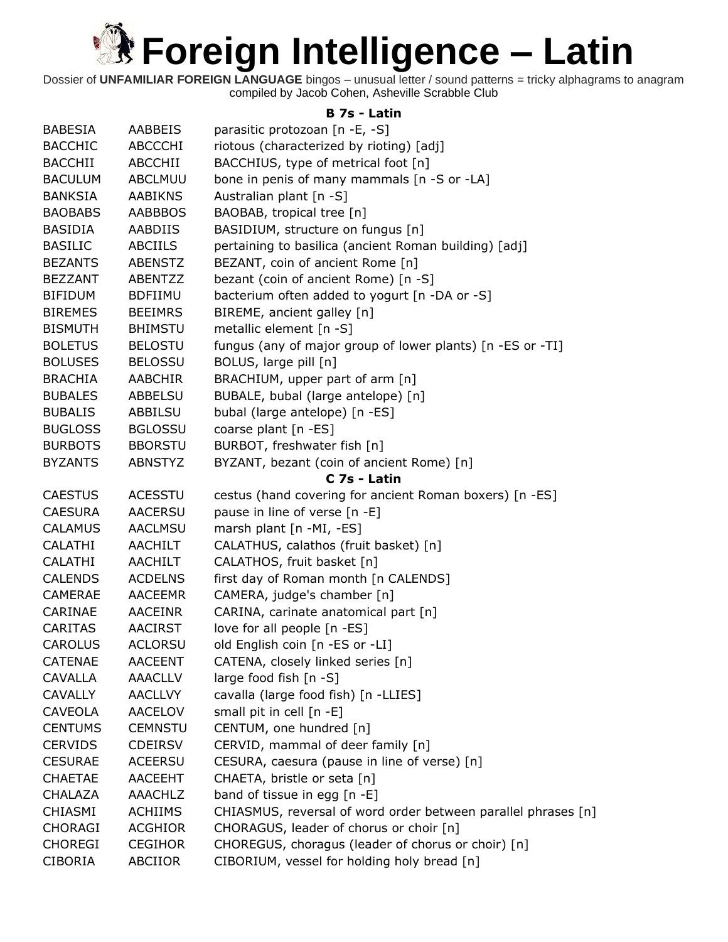

Dossier of **UNFAMILIAR FOREIGN LANGUAGE** bingos – unusual letter / sound patterns = tricky alphagrams to anagram compiled by Jacob Cohen, Asheville Scrabble Club

### **B 7s - Latin**

| <b>BABESIA</b> | <b>AABBEIS</b> | parasitic protozoan [n -E, -S]                                |
|----------------|----------------|---------------------------------------------------------------|
| <b>BACCHIC</b> | ABCCCHI        | riotous (characterized by rioting) [adj]                      |
| <b>BACCHII</b> | ABCCHII        | BACCHIUS, type of metrical foot [n]                           |
| <b>BACULUM</b> | <b>ABCLMUU</b> | bone in penis of many mammals [n -S or -LA]                   |
| <b>BANKSIA</b> | <b>AABIKNS</b> | Australian plant [n -S]                                       |
| <b>BAOBABS</b> | <b>AABBBOS</b> | BAOBAB, tropical tree [n]                                     |
| <b>BASIDIA</b> | AABDIIS        | BASIDIUM, structure on fungus [n]                             |
| <b>BASILIC</b> | <b>ABCIILS</b> | pertaining to basilica (ancient Roman building) [adj]         |
| <b>BEZANTS</b> | <b>ABENSTZ</b> | BEZANT, coin of ancient Rome [n]                              |
| <b>BEZZANT</b> | ABENTZZ        | bezant (coin of ancient Rome) [n -S]                          |
| <b>BIFIDUM</b> | <b>BDFIIMU</b> | bacterium often added to yogurt [n -DA or -S]                 |
| <b>BIREMES</b> | <b>BEEIMRS</b> | BIREME, ancient galley [n]                                    |
| <b>BISMUTH</b> | <b>BHIMSTU</b> | metallic element [n -S]                                       |
| <b>BOLETUS</b> | <b>BELOSTU</b> | fungus (any of major group of lower plants) [n -ES or -TI]    |
| <b>BOLUSES</b> | <b>BELOSSU</b> | BOLUS, large pill [n]                                         |
| <b>BRACHIA</b> | <b>AABCHIR</b> | BRACHIUM, upper part of arm [n]                               |
| <b>BUBALES</b> | ABBELSU        | BUBALE, bubal (large antelope) [n]                            |
| <b>BUBALIS</b> | ABBILSU        | bubal (large antelope) [n -ES]                                |
| <b>BUGLOSS</b> | <b>BGLOSSU</b> | coarse plant [n -ES]                                          |
| <b>BURBOTS</b> | <b>BBORSTU</b> | BURBOT, freshwater fish [n]                                   |
| <b>BYZANTS</b> | <b>ABNSTYZ</b> | BYZANT, bezant (coin of ancient Rome) [n]                     |
|                |                | C 7s - Latin                                                  |
| <b>CAESTUS</b> | <b>ACESSTU</b> | cestus (hand covering for ancient Roman boxers) [n -ES]       |
| <b>CAESURA</b> | <b>AACERSU</b> | pause in line of verse [n -E]                                 |
| <b>CALAMUS</b> | <b>AACLMSU</b> | marsh plant [n -MI, -ES]                                      |
| CALATHI        | AACHILT        | CALATHUS, calathos (fruit basket) [n]                         |
| <b>CALATHI</b> | AACHILT        | CALATHOS, fruit basket [n]                                    |
| <b>CALENDS</b> | <b>ACDELNS</b> | first day of Roman month [n CALENDS]                          |
| <b>CAMERAE</b> | <b>AACEEMR</b> | CAMERA, judge's chamber [n]                                   |
| CARINAE        | <b>AACEINR</b> | CARINA, carinate anatomical part [n]                          |
| <b>CARITAS</b> | <b>AACIRST</b> | love for all people [n -ES]                                   |
| <b>CAROLUS</b> | <b>ACLORSU</b> | old English coin [n -ES or -LI]                               |
| <b>CATENAE</b> | <b>AACEENT</b> | CATENA, closely linked series [n]                             |
| <b>CAVALLA</b> | <b>AAACLLV</b> | large food fish [n -S]                                        |
| <b>CAVALLY</b> | <b>AACLLVY</b> | cavalla (large food fish) [n -LLIES]                          |
| CAVEOLA        | <b>AACELOV</b> | small pit in cell [n -E]                                      |
| <b>CENTUMS</b> | <b>CEMNSTU</b> | CENTUM, one hundred [n]                                       |
| <b>CERVIDS</b> | <b>CDEIRSV</b> | CERVID, mammal of deer family [n]                             |
| <b>CESURAE</b> | <b>ACEERSU</b> | CESURA, caesura (pause in line of verse) [n]                  |
| <b>CHAETAE</b> | <b>AACEEHT</b> | CHAETA, bristle or seta [n]                                   |
| <b>CHALAZA</b> | AAACHLZ        | band of tissue in egg [n -E]                                  |
| CHIASMI        | <b>ACHIIMS</b> | CHIASMUS, reversal of word order between parallel phrases [n] |
| <b>CHORAGI</b> | <b>ACGHIOR</b> | CHORAGUS, leader of chorus or choir [n]                       |
| <b>CHOREGI</b> | <b>CEGIHOR</b> | CHOREGUS, choragus (leader of chorus or choir) [n]            |
| <b>CIBORIA</b> | ABCIIOR        | CIBORIUM, vessel for holding holy bread [n]                   |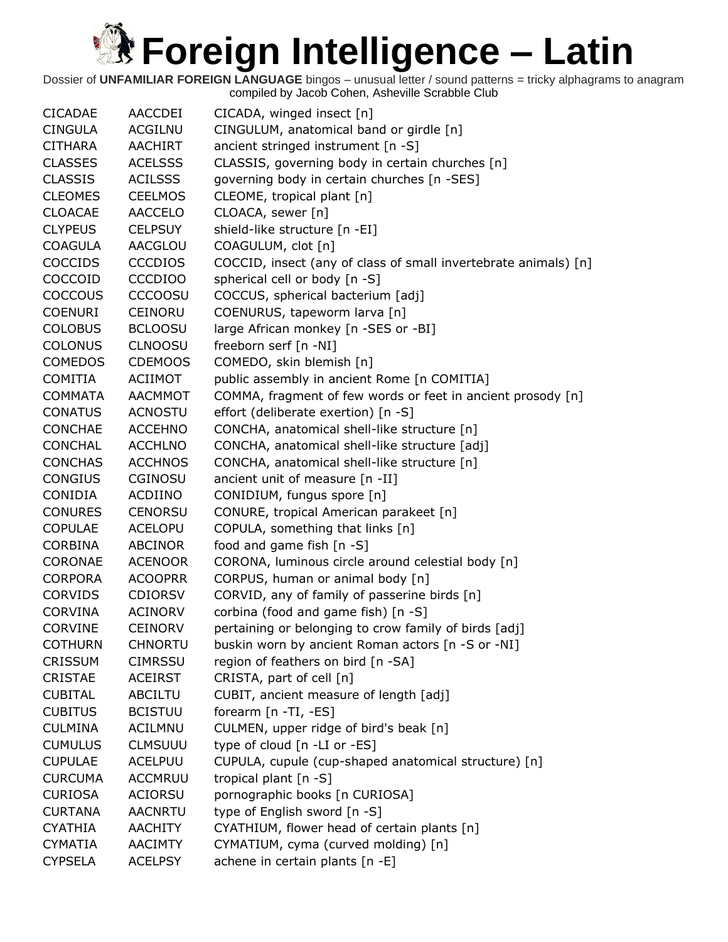| <b>CICADAE</b> | AACCDEI        | CICADA, winged insect [n]                                       |
|----------------|----------------|-----------------------------------------------------------------|
| <b>CINGULA</b> | <b>ACGILNU</b> | CINGULUM, anatomical band or girdle [n]                         |
| <b>CITHARA</b> | <b>AACHIRT</b> | ancient stringed instrument [n -S]                              |
| <b>CLASSES</b> | <b>ACELSSS</b> | CLASSIS, governing body in certain churches [n]                 |
| <b>CLASSIS</b> | <b>ACILSSS</b> | governing body in certain churches [n -SES]                     |
| <b>CLEOMES</b> | <b>CEELMOS</b> | CLEOME, tropical plant [n]                                      |
| <b>CLOACAE</b> | <b>AACCELO</b> | CLOACA, sewer [n]                                               |
| <b>CLYPEUS</b> | <b>CELPSUY</b> | shield-like structure [n -EI]                                   |
| <b>COAGULA</b> | AACGLOU        | COAGULUM, clot [n]                                              |
| <b>COCCIDS</b> | <b>CCCDIOS</b> | COCCID, insect (any of class of small invertebrate animals) [n] |
| COCCOID        | <b>CCCDIOO</b> | spherical cell or body [n -S]                                   |
| <b>COCCOUS</b> | <b>CCCOOSU</b> | COCCUS, spherical bacterium [adj]                               |
| <b>COENURI</b> | CEINORU        | COENURUS, tapeworm larva [n]                                    |
| <b>COLOBUS</b> | <b>BCLOOSU</b> | large African monkey [n -SES or -BI]                            |
| <b>COLONUS</b> | <b>CLNOOSU</b> | freeborn serf [n -NI]                                           |
| <b>COMEDOS</b> | <b>CDEMOOS</b> | COMEDO, skin blemish [n]                                        |
| <b>COMITIA</b> | <b>ACIIMOT</b> | public assembly in ancient Rome [n COMITIA]                     |
| <b>COMMATA</b> | <b>AACMMOT</b> | COMMA, fragment of few words or feet in ancient prosody [n]     |
| <b>CONATUS</b> | <b>ACNOSTU</b> | effort (deliberate exertion) [n -S]                             |
| <b>CONCHAE</b> | <b>ACCEHNO</b> | CONCHA, anatomical shell-like structure [n]                     |
| <b>CONCHAL</b> | <b>ACCHLNO</b> | CONCHA, anatomical shell-like structure [adj]                   |
| <b>CONCHAS</b> | <b>ACCHNOS</b> | CONCHA, anatomical shell-like structure [n]                     |
| <b>CONGIUS</b> | <b>CGINOSU</b> | ancient unit of measure [n -II]                                 |
| CONIDIA        | ACDIINO        | CONIDIUM, fungus spore [n]                                      |
| <b>CONURES</b> | <b>CENORSU</b> | CONURE, tropical American parakeet [n]                          |
| <b>COPULAE</b> | <b>ACELOPU</b> | COPULA, something that links [n]                                |
| <b>CORBINA</b> | <b>ABCINOR</b> | food and game fish [n -S]                                       |
| CORONAE        | <b>ACENOOR</b> | CORONA, luminous circle around celestial body [n]               |
| <b>CORPORA</b> | <b>ACOOPRR</b> | CORPUS, human or animal body [n]                                |
| <b>CORVIDS</b> | <b>CDIORSV</b> | CORVID, any of family of passerine birds [n]                    |
| <b>CORVINA</b> | <b>ACINORV</b> | corbina (food and game fish) [n -S]                             |
| <b>CORVINE</b> | <b>CEINORV</b> | pertaining or belonging to crow family of birds [adj]           |
| <b>COTHURN</b> | <b>CHNORTU</b> | buskin worn by ancient Roman actors [n -S or -NI]               |
| <b>CRISSUM</b> | <b>CIMRSSU</b> | region of feathers on bird [n -SA]                              |
| <b>CRISTAE</b> | <b>ACEIRST</b> | CRISTA, part of cell [n]                                        |
| <b>CUBITAL</b> | <b>ABCILTU</b> | CUBIT, ancient measure of length [adj]                          |
| <b>CUBITUS</b> | <b>BCISTUU</b> | forearm [n -TI, -ES]                                            |
| <b>CULMINA</b> | <b>ACILMNU</b> | CULMEN, upper ridge of bird's beak [n]                          |
| <b>CUMULUS</b> | <b>CLMSUUU</b> | type of cloud [n -LI or -ES]                                    |
| <b>CUPULAE</b> | <b>ACELPUU</b> | CUPULA, cupule (cup-shaped anatomical structure) [n]            |
| <b>CURCUMA</b> | <b>ACCMRUU</b> | tropical plant [n -S]                                           |
| <b>CURIOSA</b> | <b>ACIORSU</b> | pornographic books [n CURIOSA]                                  |
| <b>CURTANA</b> | <b>AACNRTU</b> | type of English sword [n -S]                                    |
| <b>CYATHIA</b> | <b>AACHITY</b> | CYATHIUM, flower head of certain plants [n]                     |
| <b>CYMATIA</b> | <b>AACIMTY</b> | CYMATIUM, cyma (curved molding) [n]                             |
| <b>CYPSELA</b> | <b>ACELPSY</b> | achene in certain plants [n -E]                                 |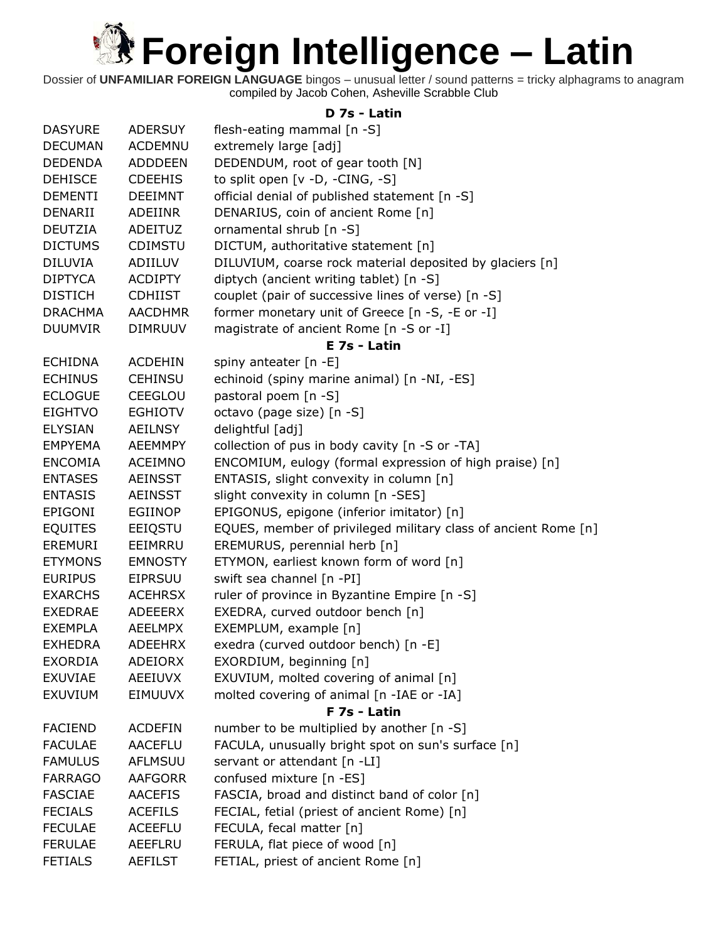Dossier of **UNFAMILIAR FOREIGN LANGUAGE** bingos – unusual letter / sound patterns = tricky alphagrams to anagram compiled by Jacob Cohen, Asheville Scrabble Club

### **D 7s - Latin**

| <b>DASYURE</b> | <b>ADERSUY</b> | flesh-eating mammal [n -S]                                     |
|----------------|----------------|----------------------------------------------------------------|
| <b>DECUMAN</b> | <b>ACDEMNU</b> | extremely large [adj]                                          |
| <b>DEDENDA</b> | <b>ADDDEEN</b> | DEDENDUM, root of gear tooth [N]                               |
| <b>DEHISCE</b> | <b>CDEEHIS</b> | to split open [v -D, -CING, -S]                                |
| <b>DEMENTI</b> | <b>DEEIMNT</b> | official denial of published statement [n -S]                  |
| DENARII        | ADEIINR        | DENARIUS, coin of ancient Rome [n]                             |
| <b>DEUTZIA</b> | ADEITUZ        | ornamental shrub [n -S]                                        |
| <b>DICTUMS</b> | CDIMSTU        | DICTUM, authoritative statement [n]                            |
| <b>DILUVIA</b> | ADIILUV        | DILUVIUM, coarse rock material deposited by glaciers [n]       |
| <b>DIPTYCA</b> | <b>ACDIPTY</b> | diptych (ancient writing tablet) [n -S]                        |
| <b>DISTICH</b> | <b>CDHIIST</b> | couplet (pair of successive lines of verse) [n -S]             |
| <b>DRACHMA</b> | <b>AACDHMR</b> | former monetary unit of Greece [n -S, -E or -I]                |
| <b>DUUMVIR</b> | <b>DIMRUUV</b> | magistrate of ancient Rome [n -S or -I]                        |
|                |                | E 7s - Latin                                                   |
| <b>ECHIDNA</b> | <b>ACDEHIN</b> | spiny anteater [n -E]                                          |
| <b>ECHINUS</b> | <b>CEHINSU</b> | echinoid (spiny marine animal) [n -NI, -ES]                    |
| <b>ECLOGUE</b> | CEEGLOU        | pastoral poem [n -S]                                           |
| <b>EIGHTVO</b> | <b>EGHIOTV</b> | octavo (page size) [n -S]                                      |
| <b>ELYSIAN</b> | <b>AEILNSY</b> | delightful [adj]                                               |
| <b>EMPYEMA</b> | <b>AEEMMPY</b> | collection of pus in body cavity [n -S or -TA]                 |
| <b>ENCOMIA</b> | ACEIMNO        | ENCOMIUM, eulogy (formal expression of high praise) [n]        |
| <b>ENTASES</b> | <b>AEINSST</b> | ENTASIS, slight convexity in column [n]                        |
| <b>ENTASIS</b> | <b>AEINSST</b> | slight convexity in column [n -SES]                            |
| <b>EPIGONI</b> | <b>EGIINOP</b> | EPIGONUS, epigone (inferior imitator) [n]                      |
| <b>EQUITES</b> | EEIQSTU        | EQUES, member of privileged military class of ancient Rome [n] |
| <b>EREMURI</b> | EEIMRRU        | EREMURUS, perennial herb [n]                                   |
| <b>ETYMONS</b> | <b>EMNOSTY</b> | ETYMON, earliest known form of word [n]                        |
| <b>EURIPUS</b> | <b>EIPRSUU</b> | swift sea channel [n -PI]                                      |
| <b>EXARCHS</b> | <b>ACEHRSX</b> | ruler of province in Byzantine Empire [n -S]                   |
| <b>EXEDRAE</b> | ADEEERX        | EXEDRA, curved outdoor bench [n]                               |
| <b>EXEMPLA</b> | <b>AEELMPX</b> | EXEMPLUM, example [n]                                          |
| <b>EXHEDRA</b> | <b>ADEEHRX</b> | exedra (curved outdoor bench) [n -E]                           |
| <b>EXORDIA</b> | <b>ADEIORX</b> | EXORDIUM, beginning [n]                                        |
| <b>EXUVIAE</b> | <b>AEEIUVX</b> | EXUVIUM, molted covering of animal [n]                         |
| <b>EXUVIUM</b> | EIMUUVX        | molted covering of animal [n -IAE or -IA]                      |
|                |                | F 7s - Latin                                                   |
| <b>FACIEND</b> | <b>ACDEFIN</b> | number to be multiplied by another [n -S]                      |
| <b>FACULAE</b> | <b>AACEFLU</b> | FACULA, unusually bright spot on sun's surface [n]             |
| <b>FAMULUS</b> | AFLMSUU        | servant or attendant [n -LI]                                   |
| <b>FARRAGO</b> | <b>AAFGORR</b> | confused mixture [n -ES]                                       |
| <b>FASCIAE</b> | <b>AACEFIS</b> | FASCIA, broad and distinct band of color [n]                   |
| <b>FECIALS</b> | <b>ACEFILS</b> | FECIAL, fetial (priest of ancient Rome) [n]                    |
| <b>FECULAE</b> | <b>ACEEFLU</b> | FECULA, fecal matter [n]                                       |
| <b>FERULAE</b> | <b>AEEFLRU</b> | FERULA, flat piece of wood [n]                                 |
| <b>FETIALS</b> | <b>AEFILST</b> | FETIAL, priest of ancient Rome [n]                             |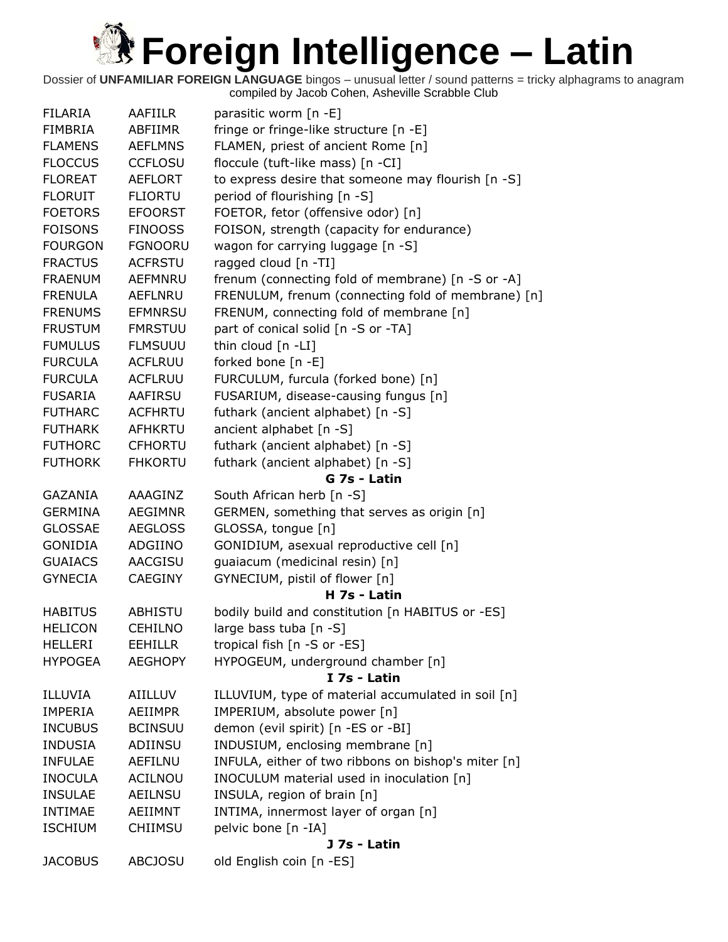| <b>FILARIA</b> | <b>AAFIILR</b> | parasitic worm [n -E]                               |
|----------------|----------------|-----------------------------------------------------|
| <b>FIMBRIA</b> | ABFIIMR        | fringe or fringe-like structure [n -E]              |
| <b>FLAMENS</b> | <b>AEFLMNS</b> | FLAMEN, priest of ancient Rome [n]                  |
| <b>FLOCCUS</b> | <b>CCFLOSU</b> | floccule (tuft-like mass) [n -CI]                   |
| <b>FLOREAT</b> | <b>AEFLORT</b> | to express desire that someone may flourish [n -S]  |
| <b>FLORUIT</b> | <b>FLIORTU</b> | period of flourishing [n -S]                        |
| <b>FOETORS</b> | <b>EFOORST</b> | FOETOR, fetor (offensive odor) [n]                  |
| <b>FOISONS</b> | <b>FINOOSS</b> | FOISON, strength (capacity for endurance)           |
| <b>FOURGON</b> | <b>FGNOORU</b> | wagon for carrying luggage [n -S]                   |
| <b>FRACTUS</b> | <b>ACFRSTU</b> | ragged cloud [n -TI]                                |
| <b>FRAENUM</b> | AEFMNRU        | frenum (connecting fold of membrane) [n -S or -A]   |
| <b>FRENULA</b> | <b>AEFLNRU</b> | FRENULUM, frenum (connecting fold of membrane) [n]  |
| <b>FRENUMS</b> | <b>EFMNRSU</b> | FRENUM, connecting fold of membrane [n]             |
| <b>FRUSTUM</b> | <b>FMRSTUU</b> | part of conical solid [n -S or -TA]                 |
| <b>FUMULUS</b> | <b>FLMSUUU</b> | thin cloud [n -LI]                                  |
| <b>FURCULA</b> | <b>ACFLRUU</b> | forked bone [n -E]                                  |
| <b>FURCULA</b> | <b>ACFLRUU</b> | FURCULUM, furcula (forked bone) [n]                 |
| <b>FUSARIA</b> | AAFIRSU        | FUSARIUM, disease-causing fungus [n]                |
| <b>FUTHARC</b> | <b>ACFHRTU</b> | futhark (ancient alphabet) [n -S]                   |
| <b>FUTHARK</b> | <b>AFHKRTU</b> | ancient alphabet [n -S]                             |
| <b>FUTHORC</b> | <b>CFHORTU</b> | futhark (ancient alphabet) [n -S]                   |
| <b>FUTHORK</b> | <b>FHKORTU</b> | futhark (ancient alphabet) [n -S]                   |
|                |                | G 7s - Latin                                        |
| GAZANIA        | AAAGINZ        | South African herb [n -S]                           |
| <b>GERMINA</b> | <b>AEGIMNR</b> | GERMEN, something that serves as origin [n]         |
| <b>GLOSSAE</b> | <b>AEGLOSS</b> | GLOSSA, tongue [n]                                  |
| GONIDIA        | ADGIINO        | GONIDIUM, asexual reproductive cell [n]             |
| <b>GUAIACS</b> | AACGISU        | guaiacum (medicinal resin) [n]                      |
| <b>GYNECIA</b> | <b>CAEGINY</b> | GYNECIUM, pistil of flower [n]                      |
|                |                | H 7s - Latin                                        |
| <b>HABITUS</b> | <b>ABHISTU</b> | bodily build and constitution [n HABITUS or -ES]    |
| <b>HELICON</b> | <b>CEHILNO</b> | large bass tuba [n -S]                              |
| <b>HELLERI</b> | <b>EEHILLR</b> | tropical fish [n -S or -ES]                         |
| <b>HYPOGEA</b> | <b>AEGHOPY</b> | HYPOGEUM, underground chamber [n]                   |
|                |                | I 7s - Latin                                        |
| ILLUVIA        | AIILLUV        | ILLUVIUM, type of material accumulated in soil [n]  |
| <b>IMPERIA</b> | AEIIMPR        | IMPERIUM, absolute power [n]                        |
| <b>INCUBUS</b> | <b>BCINSUU</b> | demon (evil spirit) [n -ES or -BI]                  |
| <b>INDUSIA</b> | ADIINSU        | INDUSIUM, enclosing membrane [n]                    |
| <b>INFULAE</b> | <b>AEFILNU</b> | INFULA, either of two ribbons on bishop's miter [n] |
| <b>INOCULA</b> | ACILNOU        | INOCULUM material used in inoculation [n]           |
| <b>INSULAE</b> | <b>AEILNSU</b> | INSULA, region of brain [n]                         |
| <b>INTIMAE</b> | AEIIMNT        | INTIMA, innermost layer of organ [n]                |
| <b>ISCHIUM</b> | <b>CHIIMSU</b> | pelvic bone [n -IA]                                 |
|                |                | J 7s - Latin                                        |
| <b>JACOBUS</b> | <b>ABCJOSU</b> | old English coin [n -ES]                            |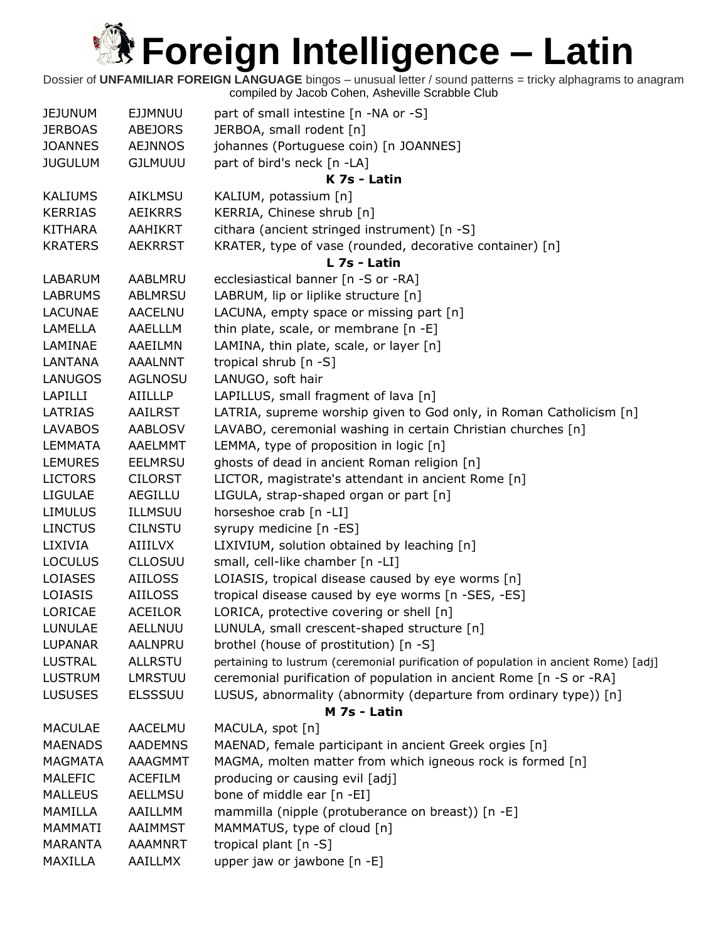| <b>JEJUNUM</b> | <b>EJJMNUU</b> | part of small intestine [n -NA or -S]                                               |
|----------------|----------------|-------------------------------------------------------------------------------------|
| <b>JERBOAS</b> | <b>ABEJORS</b> | JERBOA, small rodent [n]                                                            |
| <b>JOANNES</b> | <b>AEJNNOS</b> | johannes (Portuguese coin) [n JOANNES]                                              |
| <b>JUGULUM</b> | <b>GJLMUUU</b> | part of bird's neck [n -LA]                                                         |
|                |                | K 7s - Latin                                                                        |
| <b>KALIUMS</b> | <b>AIKLMSU</b> | KALIUM, potassium [n]                                                               |
| <b>KERRIAS</b> | <b>AEIKRRS</b> | KERRIA, Chinese shrub [n]                                                           |
| <b>KITHARA</b> | AAHIKRT        | cithara (ancient stringed instrument) [n -S]                                        |
| <b>KRATERS</b> | <b>AEKRRST</b> | KRATER, type of vase (rounded, decorative container) [n]                            |
|                |                | L 7s - Latin                                                                        |
| LABARUM        | AABLMRU        | ecclesiastical banner [n -S or -RA]                                                 |
| <b>LABRUMS</b> | <b>ABLMRSU</b> | LABRUM, lip or liplike structure [n]                                                |
| <b>LACUNAE</b> | <b>AACELNU</b> | LACUNA, empty space or missing part [n]                                             |
| LAMELLA        | AAELLLM        | thin plate, scale, or membrane [n -E]                                               |
| LAMINAE        | AAEILMN        | LAMINA, thin plate, scale, or layer [n]                                             |
| <b>LANTANA</b> | <b>AAALNNT</b> | tropical shrub [n -S]                                                               |
| <b>LANUGOS</b> | <b>AGLNOSU</b> | LANUGO, soft hair                                                                   |
| LAPILLI        | <b>AIILLLP</b> | LAPILLUS, small fragment of lava [n]                                                |
| LATRIAS        | <b>AAILRST</b> | LATRIA, supreme worship given to God only, in Roman Catholicism [n]                 |
| <b>LAVABOS</b> | <b>AABLOSV</b> | LAVABO, ceremonial washing in certain Christian churches [n]                        |
| <b>LEMMATA</b> | <b>AAELMMT</b> | LEMMA, type of proposition in logic [n]                                             |
| <b>LEMURES</b> | <b>EELMRSU</b> | ghosts of dead in ancient Roman religion [n]                                        |
| <b>LICTORS</b> | <b>CILORST</b> | LICTOR, magistrate's attendant in ancient Rome [n]                                  |
| <b>LIGULAE</b> | AEGILLU        | LIGULA, strap-shaped organ or part [n]                                              |
| <b>LIMULUS</b> | ILLMSUU        | horseshoe crab [n -LI]                                                              |
| <b>LINCTUS</b> | <b>CILNSTU</b> | syrupy medicine [n -ES]                                                             |
| LIXIVIA        | AIIILVX        | LIXIVIUM, solution obtained by leaching [n]                                         |
| <b>LOCULUS</b> | <b>CLLOSUU</b> | small, cell-like chamber [n -LI]                                                    |
| LOIASES        | <b>AIILOSS</b> | LOIASIS, tropical disease caused by eye worms [n]                                   |
| LOIASIS        | <b>AIILOSS</b> | tropical disease caused by eye worms [n -SES, -ES]                                  |
| LORICAE        | <b>ACEILOR</b> | LORICA, protective covering or shell [n]                                            |
| <b>LUNULAE</b> | AELLNUU        | LUNULA, small crescent-shaped structure [n]                                         |
| <b>LUPANAR</b> | <b>AALNPRU</b> | brothel (house of prostitution) [n -S]                                              |
| <b>LUSTRAL</b> | <b>ALLRSTU</b> | pertaining to lustrum (ceremonial purification of population in ancient Rome) [adj] |
| <b>LUSTRUM</b> | LMRSTUU        | ceremonial purification of population in ancient Rome [n -S or -RA]                 |
| <b>LUSUSES</b> | <b>ELSSSUU</b> | LUSUS, abnormality (abnormity (departure from ordinary type)) [n]                   |
|                |                | M 7s - Latin                                                                        |
| <b>MACULAE</b> | AACELMU        | MACULA, spot [n]                                                                    |
| <b>MAENADS</b> | <b>AADEMNS</b> | MAENAD, female participant in ancient Greek orgies [n]                              |
| <b>MAGMATA</b> | AAAGMMT        | MAGMA, molten matter from which igneous rock is formed [n]                          |
| <b>MALEFIC</b> | <b>ACEFILM</b> | producing or causing evil [adj]                                                     |
| <b>MALLEUS</b> | <b>AELLMSU</b> | bone of middle ear [n -EI]                                                          |
| <b>MAMILLA</b> | AAILLMM        | mammilla (nipple (protuberance on breast)) [n -E]                                   |
| MAMMATI        | AAIMMST        | MAMMATUS, type of cloud [n]                                                         |
| <b>MARANTA</b> | <b>AAAMNRT</b> | tropical plant [n -S]                                                               |
| MAXILLA        | <b>AAILLMX</b> | upper jaw or jawbone [n -E]                                                         |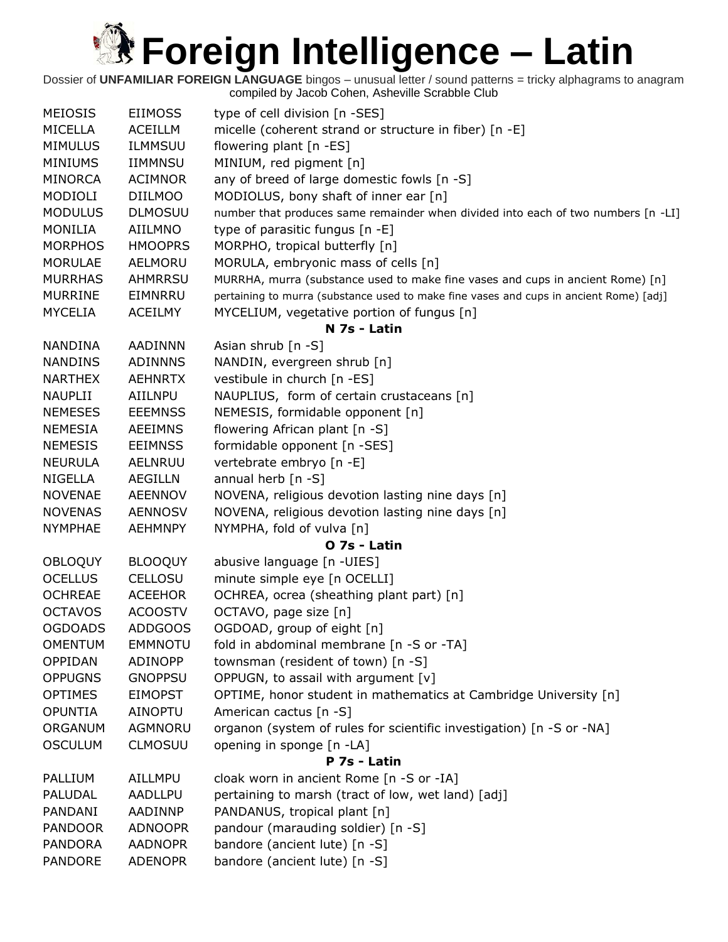| <b>MEIOSIS</b> | <b>EIIMOSS</b> | type of cell division [n -SES]                                                         |
|----------------|----------------|----------------------------------------------------------------------------------------|
| MICELLA        | <b>ACEILLM</b> | micelle (coherent strand or structure in fiber) [n -E]                                 |
| <b>MIMULUS</b> | <b>ILMMSUU</b> | flowering plant [n -ES]                                                                |
| <b>MINIUMS</b> | <b>IIMMNSU</b> | MINIUM, red pigment [n]                                                                |
| <b>MINORCA</b> | <b>ACIMNOR</b> | any of breed of large domestic fowls [n -S]                                            |
| MODIOLI        | <b>DIILMOO</b> | MODIOLUS, bony shaft of inner ear [n]                                                  |
| <b>MODULUS</b> | <b>DLMOSUU</b> | number that produces same remainder when divided into each of two numbers [n -LI]      |
| <b>MONILIA</b> | AIILMNO        | type of parasitic fungus [n -E]                                                        |
| <b>MORPHOS</b> | <b>HMOOPRS</b> | MORPHO, tropical butterfly [n]                                                         |
| <b>MORULAE</b> | <b>AELMORU</b> | MORULA, embryonic mass of cells [n]                                                    |
| <b>MURRHAS</b> | AHMRRSU        | MURRHA, murra (substance used to make fine vases and cups in ancient Rome) [n]         |
| <b>MURRINE</b> | EIMNRRU        | pertaining to murra (substance used to make fine vases and cups in ancient Rome) [adj] |
| <b>MYCELIA</b> | <b>ACEILMY</b> | MYCELIUM, vegetative portion of fungus [n]                                             |
|                |                | N 7s - Latin                                                                           |
| NANDINA        | <b>AADINNN</b> | Asian shrub [n -S]                                                                     |
| <b>NANDINS</b> | <b>ADINNNS</b> | NANDIN, evergreen shrub [n]                                                            |
| <b>NARTHEX</b> | <b>AEHNRTX</b> | vestibule in church [n -ES]                                                            |
| <b>NAUPLII</b> | AIILNPU        | NAUPLIUS, form of certain crustaceans [n]                                              |
| <b>NEMESES</b> | <b>EEEMNSS</b> | NEMESIS, formidable opponent [n]                                                       |
| <b>NEMESIA</b> | <b>AEEIMNS</b> | flowering African plant [n -S]                                                         |
| <b>NEMESIS</b> | <b>EEIMNSS</b> | formidable opponent [n -SES]                                                           |
| <b>NEURULA</b> | AELNRUU        | vertebrate embryo [n -E]                                                               |
| <b>NIGELLA</b> | AEGILLN        | annual herb [n -S]                                                                     |
| <b>NOVENAE</b> | <b>AEENNOV</b> | NOVENA, religious devotion lasting nine days [n]                                       |
| <b>NOVENAS</b> | <b>AENNOSV</b> | NOVENA, religious devotion lasting nine days [n]                                       |
| <b>NYMPHAE</b> | <b>AEHMNPY</b> | NYMPHA, fold of vulva [n]                                                              |
|                |                | O 7s - Latin                                                                           |
| <b>OBLOQUY</b> | <b>BLOOQUY</b> | abusive language [n -UIES]                                                             |
| <b>OCELLUS</b> | <b>CELLOSU</b> | minute simple eye [n OCELLI]                                                           |
| <b>OCHREAE</b> | <b>ACEEHOR</b> | OCHREA, ocrea (sheathing plant part) [n]                                               |
| <b>OCTAVOS</b> | <b>ACOOSTV</b> | OCTAVO, page size [n]                                                                  |
| <b>OGDOADS</b> | <b>ADDGOOS</b> | OGDOAD, group of eight [n]                                                             |
| <b>OMENTUM</b> | <b>EMMNOTU</b> | fold in abdominal membrane [n -S or -TA]                                               |
| OPPIDAN        | ADINOPP        | townsman (resident of town) [n -S]                                                     |
| <b>OPPUGNS</b> | <b>GNOPPSU</b> | OPPUGN, to assail with argument [v]                                                    |
| <b>OPTIMES</b> | <b>EIMOPST</b> | OPTIME, honor student in mathematics at Cambridge University [n]                       |
| <b>OPUNTIA</b> | AINOPTU        | American cactus [n -S]                                                                 |
| ORGANUM        | <b>AGMNORU</b> | organon (system of rules for scientific investigation) [n -S or -NA]                   |
| <b>OSCULUM</b> | <b>CLMOSUU</b> | opening in sponge [n -LA]                                                              |
|                |                | P 7s - Latin                                                                           |
| PALLIUM        | AILLMPU        | cloak worn in ancient Rome [n -S or -IA]                                               |
| PALUDAL        | <b>AADLLPU</b> | pertaining to marsh (tract of low, wet land) [adj]                                     |
| PANDANI        | AADINNP        | PANDANUS, tropical plant [n]                                                           |
| <b>PANDOOR</b> | <b>ADNOOPR</b> | pandour (marauding soldier) [n -S]                                                     |
| <b>PANDORA</b> | <b>AADNOPR</b> | bandore (ancient lute) [n -S]                                                          |
| <b>PANDORE</b> | <b>ADENOPR</b> | bandore (ancient lute) [n -S]                                                          |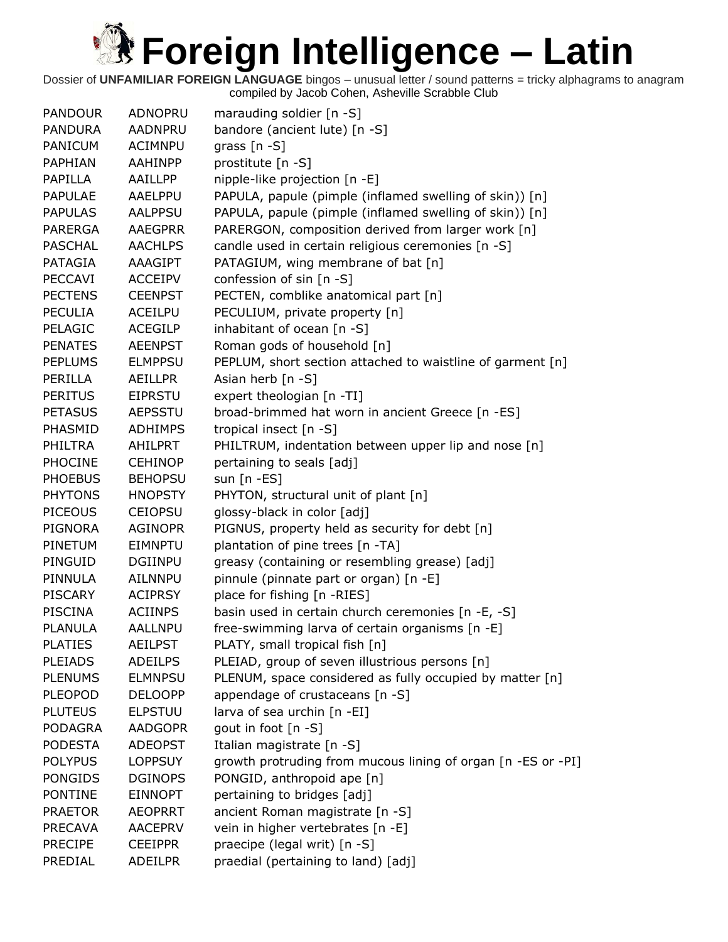| <b>PANDOUR</b> | ADNOPRU        | marauding soldier [n -S]                                     |
|----------------|----------------|--------------------------------------------------------------|
| <b>PANDURA</b> | AADNPRU        | bandore (ancient lute) [n -S]                                |
| <b>PANICUM</b> | <b>ACIMNPU</b> | grass $[n - S]$                                              |
| PAPHIAN        | <b>AAHINPP</b> | prostitute [n -S]                                            |
| <b>PAPILLA</b> | AAILLPP        | nipple-like projection [n -E]                                |
| <b>PAPULAE</b> | AAELPPU        | PAPULA, papule (pimple (inflamed swelling of skin)) [n]      |
| <b>PAPULAS</b> | <b>AALPPSU</b> | PAPULA, papule (pimple (inflamed swelling of skin)) [n]      |
| <b>PARERGA</b> | <b>AAEGPRR</b> | PARERGON, composition derived from larger work [n]           |
| <b>PASCHAL</b> | <b>AACHLPS</b> | candle used in certain religious ceremonies [n -S]           |
| PATAGIA        | <b>AAAGIPT</b> | PATAGIUM, wing membrane of bat [n]                           |
| <b>PECCAVI</b> | <b>ACCEIPV</b> | confession of sin [n -S]                                     |
| <b>PECTENS</b> | <b>CEENPST</b> | PECTEN, comblike anatomical part [n]                         |
| <b>PECULIA</b> | <b>ACEILPU</b> | PECULIUM, private property [n]                               |
| PELAGIC        | <b>ACEGILP</b> | inhabitant of ocean [n -S]                                   |
| <b>PENATES</b> | <b>AEENPST</b> | Roman gods of household [n]                                  |
| <b>PEPLUMS</b> | <b>ELMPPSU</b> | PEPLUM, short section attached to waistline of garment [n]   |
| PERILLA        | <b>AEILLPR</b> | Asian herb [n -S]                                            |
| <b>PERITUS</b> | <b>EIPRSTU</b> | expert theologian [n -TI]                                    |
| <b>PETASUS</b> | <b>AEPSSTU</b> | broad-brimmed hat worn in ancient Greece [n -ES]             |
| PHASMID        | <b>ADHIMPS</b> | tropical insect [n -S]                                       |
| PHILTRA        | AHILPRT        | PHILTRUM, indentation between upper lip and nose [n]         |
| <b>PHOCINE</b> | <b>CEHINOP</b> | pertaining to seals [adj]                                    |
| <b>PHOEBUS</b> | <b>BEHOPSU</b> | sun $[n - ES]$                                               |
| <b>PHYTONS</b> | <b>HNOPSTY</b> | PHYTON, structural unit of plant [n]                         |
| <b>PICEOUS</b> | <b>CEIOPSU</b> | glossy-black in color [adj]                                  |
| <b>PIGNORA</b> | <b>AGINOPR</b> | PIGNUS, property held as security for debt [n]               |
| PINETUM        | <b>EIMNPTU</b> | plantation of pine trees [n -TA]                             |
| PINGUID        | <b>DGIINPU</b> | greasy (containing or resembling grease) [adj]               |
| PINNULA        | <b>AILNNPU</b> | pinnule (pinnate part or organ) [n -E]                       |
| <b>PISCARY</b> | <b>ACIPRSY</b> | place for fishing [n -RIES]                                  |
| <b>PISCINA</b> | <b>ACIINPS</b> | basin used in certain church ceremonies [n -E, -S]           |
| <b>PLANULA</b> | AALLNPU        | free-swimming larva of certain organisms [n -E]              |
| <b>PLATIES</b> | <b>AEILPST</b> | PLATY, small tropical fish [n]                               |
| <b>PLEIADS</b> | <b>ADEILPS</b> | PLEIAD, group of seven illustrious persons [n]               |
| <b>PLENUMS</b> | <b>ELMNPSU</b> | PLENUM, space considered as fully occupied by matter [n]     |
| <b>PLEOPOD</b> | <b>DELOOPP</b> | appendage of crustaceans [n -S]                              |
| <b>PLUTEUS</b> | <b>ELPSTUU</b> | larva of sea urchin [n -EI]                                  |
| <b>PODAGRA</b> | <b>AADGOPR</b> | gout in foot [n -S]                                          |
| <b>PODESTA</b> | <b>ADEOPST</b> | Italian magistrate [n -S]                                    |
| <b>POLYPUS</b> | <b>LOPPSUY</b> | growth protruding from mucous lining of organ [n -ES or -PI] |
| <b>PONGIDS</b> | <b>DGINOPS</b> | PONGID, anthropoid ape [n]                                   |
| <b>PONTINE</b> | <b>EINNOPT</b> | pertaining to bridges [adj]                                  |
| <b>PRAETOR</b> | <b>AEOPRRT</b> | ancient Roman magistrate [n -S]                              |
| PRECAVA        | <b>AACEPRV</b> | vein in higher vertebrates [n -E]                            |
| <b>PRECIPE</b> | <b>CEEIPPR</b> | praecipe (legal writ) [n -S]                                 |
| PREDIAL        | <b>ADEILPR</b> | praedial (pertaining to land) [adj]                          |
|                |                |                                                              |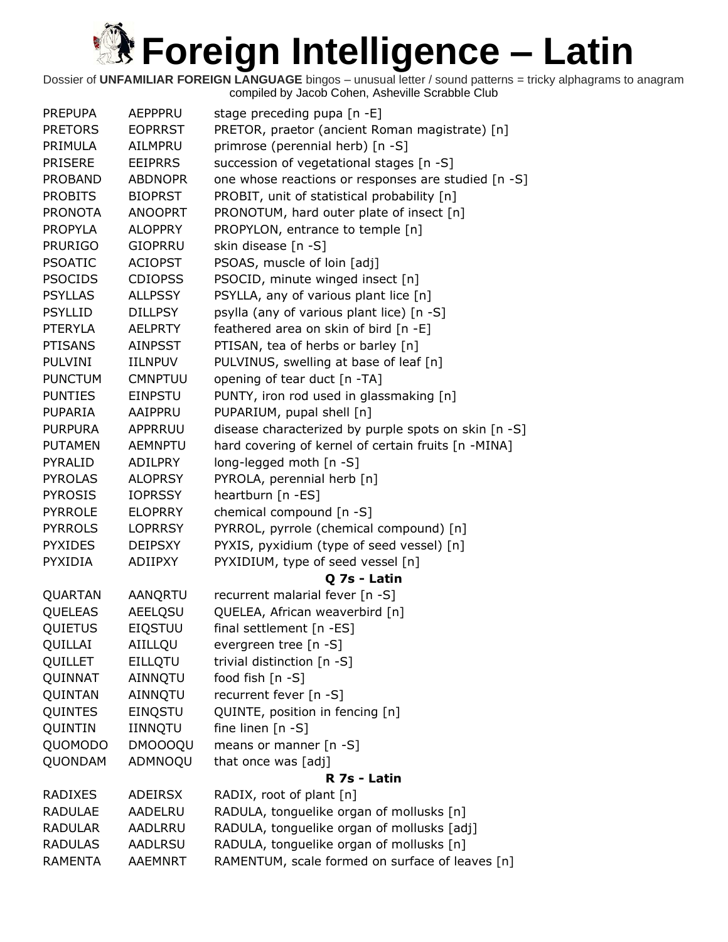| <b>PREPUPA</b> | AEPPPRU        | stage preceding pupa $[n -E]$                        |
|----------------|----------------|------------------------------------------------------|
| <b>PRETORS</b> | <b>EOPRRST</b> | PRETOR, praetor (ancient Roman magistrate) [n]       |
| PRIMULA        | AILMPRU        | primrose (perennial herb) [n -S]                     |
| <b>PRISERE</b> | <b>EEIPRRS</b> | succession of vegetational stages [n -S]             |
| <b>PROBAND</b> | <b>ABDNOPR</b> | one whose reactions or responses are studied [n -S]  |
| <b>PROBITS</b> | <b>BIOPRST</b> | PROBIT, unit of statistical probability [n]          |
| <b>PRONOTA</b> | <b>ANOOPRT</b> | PRONOTUM, hard outer plate of insect [n]             |
| <b>PROPYLA</b> | <b>ALOPPRY</b> | PROPYLON, entrance to temple [n]                     |
| <b>PRURIGO</b> | <b>GIOPRRU</b> | skin disease [n -S]                                  |
| <b>PSOATIC</b> | <b>ACIOPST</b> | PSOAS, muscle of loin [adj]                          |
| <b>PSOCIDS</b> | <b>CDIOPSS</b> | PSOCID, minute winged insect [n]                     |
| <b>PSYLLAS</b> | <b>ALLPSSY</b> | PSYLLA, any of various plant lice [n]                |
| <b>PSYLLID</b> | <b>DILLPSY</b> | psylla (any of various plant lice) [n -S]            |
| <b>PTERYLA</b> | AELPRTY        | feathered area on skin of bird [n -E]                |
| <b>PTISANS</b> | <b>AINPSST</b> | PTISAN, tea of herbs or barley [n]                   |
| <b>PULVINI</b> | <b>IILNPUV</b> | PULVINUS, swelling at base of leaf [n]               |
| <b>PUNCTUM</b> | <b>CMNPTUU</b> | opening of tear duct [n -TA]                         |
| <b>PUNTIES</b> | <b>EINPSTU</b> | PUNTY, iron rod used in glassmaking [n]              |
| <b>PUPARIA</b> | AAIPPRU        | PUPARIUM, pupal shell [n]                            |
| <b>PURPURA</b> | APPRRUU        | disease characterized by purple spots on skin [n -S] |
| <b>PUTAMEN</b> | <b>AEMNPTU</b> | hard covering of kernel of certain fruits [n -MINA]  |
| <b>PYRALID</b> | <b>ADILPRY</b> | long-legged moth [n -S]                              |
| <b>PYROLAS</b> | <b>ALOPRSY</b> | PYROLA, perennial herb [n]                           |
| <b>PYROSIS</b> | <b>IOPRSSY</b> | heartburn [n -ES]                                    |
| <b>PYRROLE</b> | <b>ELOPRRY</b> | chemical compound [n -S]                             |
| <b>PYRROLS</b> | <b>LOPRRSY</b> | PYRROL, pyrrole (chemical compound) [n]              |
| <b>PYXIDES</b> | <b>DEIPSXY</b> | PYXIS, pyxidium (type of seed vessel) [n]            |
| <b>PYXIDIA</b> | <b>ADIIPXY</b> | PYXIDIUM, type of seed vessel [n]                    |
|                |                | Q 7s - Latin                                         |
| QUARTAN        | AANQRTU        | recurrent malarial fever [n -S]                      |
| QUELEAS        | AEELQSU        | QUELEA, African weaverbird [n]                       |
| QUIETUS        | <b>EIQSTUU</b> | final settlement [n -ES]                             |
| QUILLAI        | AIILLQU        | evergreen tree [n -S]                                |
| QUILLET        | <b>EILLQTU</b> | trivial distinction [n -S]                           |
| QUINNAT        | AINNQTU        | food fish [n -S]                                     |
| QUINTAN        | AINNQTU        | recurrent fever [n -S]                               |
| QUINTES        | <b>EINQSTU</b> | QUINTE, position in fencing [n]                      |
| QUINTIN        | IINNQTU        | fine linen $[n - S]$                                 |
| QUOMODO        | <b>DMOOOQU</b> | means or manner $[n - S]$                            |
| QUONDAM        | ADMNOQU        | that once was [adj]                                  |
|                |                | R 7s - Latin                                         |
| <b>RADIXES</b> | <b>ADEIRSX</b> | RADIX, root of plant [n]                             |
| <b>RADULAE</b> | AADELRU        | RADULA, tonguelike organ of mollusks [n]             |
| <b>RADULAR</b> | AADLRRU        | RADULA, tonguelike organ of mollusks [adj]           |
| <b>RADULAS</b> | AADLRSU        | RADULA, tonguelike organ of mollusks [n]             |
| <b>RAMENTA</b> | AAEMNRT        | RAMENTUM, scale formed on surface of leaves [n]      |
|                |                |                                                      |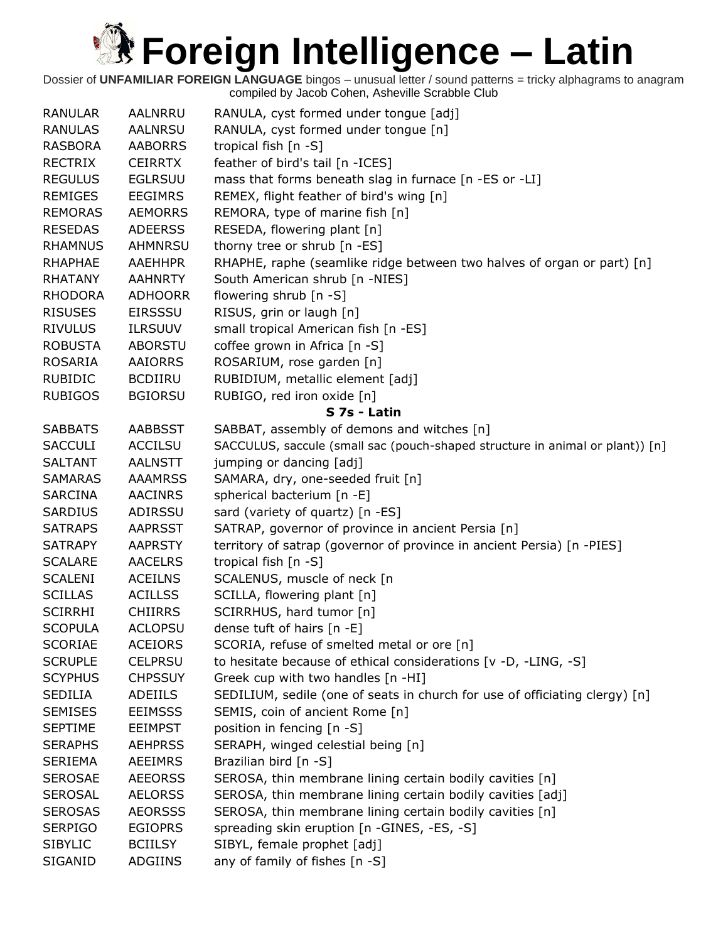| <b>RANULAR</b>                   | AALNRRU                          | RANULA, cyst formed under tongue [adj]                                                                                 |
|----------------------------------|----------------------------------|------------------------------------------------------------------------------------------------------------------------|
| <b>RANULAS</b>                   | <b>AALNRSU</b>                   | RANULA, cyst formed under tongue [n]                                                                                   |
| <b>RASBORA</b>                   | <b>AABORRS</b>                   | tropical fish [n -S]                                                                                                   |
| <b>RECTRIX</b>                   | <b>CEIRRTX</b>                   | feather of bird's tail [n -ICES]                                                                                       |
| <b>REGULUS</b>                   | <b>EGLRSUU</b>                   | mass that forms beneath slag in furnace [n -ES or -LI]                                                                 |
| <b>REMIGES</b>                   | <b>EEGIMRS</b>                   | REMEX, flight feather of bird's wing [n]                                                                               |
| <b>REMORAS</b>                   | <b>AEMORRS</b>                   | REMORA, type of marine fish [n]                                                                                        |
| <b>RESEDAS</b>                   | <b>ADEERSS</b>                   | RESEDA, flowering plant [n]                                                                                            |
| <b>RHAMNUS</b>                   | AHMNRSU                          | thorny tree or shrub [n -ES]                                                                                           |
| <b>RHAPHAE</b>                   | <b>AAEHHPR</b>                   | RHAPHE, raphe (seamlike ridge between two halves of organ or part) [n]                                                 |
| <b>RHATANY</b>                   | <b>AAHNRTY</b>                   | South American shrub [n -NIES]                                                                                         |
| <b>RHODORA</b>                   | <b>ADHOORR</b>                   | flowering shrub [n -S]                                                                                                 |
| <b>RISUSES</b>                   | <b>EIRSSSU</b>                   | RISUS, grin or laugh [n]                                                                                               |
| <b>RIVULUS</b>                   | <b>ILRSUUV</b>                   | small tropical American fish [n -ES]                                                                                   |
| <b>ROBUSTA</b>                   | <b>ABORSTU</b>                   | coffee grown in Africa [n -S]                                                                                          |
| <b>ROSARIA</b>                   | AAIORRS                          | ROSARIUM, rose garden [n]                                                                                              |
| <b>RUBIDIC</b>                   | <b>BCDIIRU</b>                   | RUBIDIUM, metallic element [adj]                                                                                       |
| <b>RUBIGOS</b>                   | <b>BGIORSU</b>                   | RUBIGO, red iron oxide [n]                                                                                             |
|                                  |                                  | S 7s - Latin                                                                                                           |
| <b>SABBATS</b>                   | <b>AABBSST</b>                   | SABBAT, assembly of demons and witches [n]                                                                             |
| <b>SACCULI</b>                   | <b>ACCILSU</b>                   | SACCULUS, saccule (small sac (pouch-shaped structure in animal or plant)) [n]                                          |
| <b>SALTANT</b>                   | <b>AALNSTT</b>                   | jumping or dancing [adj]                                                                                               |
| <b>SAMARAS</b>                   | <b>AAAMRSS</b>                   | SAMARA, dry, one-seeded fruit [n]                                                                                      |
| <b>SARCINA</b>                   | <b>AACINRS</b>                   | spherical bacterium [n -E]                                                                                             |
| <b>SARDIUS</b>                   | ADIRSSU                          | sard (variety of quartz) [n -ES]                                                                                       |
| <b>SATRAPS</b>                   | <b>AAPRSST</b>                   | SATRAP, governor of province in ancient Persia [n]                                                                     |
| <b>SATRAPY</b>                   | <b>AAPRSTY</b>                   | territory of satrap (governor of province in ancient Persia) [n -PIES]                                                 |
| <b>SCALARE</b>                   | <b>AACELRS</b>                   | tropical fish [n -S]                                                                                                   |
| <b>SCALENI</b>                   | <b>ACEILNS</b>                   | SCALENUS, muscle of neck [n                                                                                            |
| <b>SCILLAS</b>                   | <b>ACILLSS</b>                   | SCILLA, flowering plant [n]                                                                                            |
| <b>SCIRRHI</b>                   | <b>CHIIRRS</b>                   | SCIRRHUS, hard tumor [n]                                                                                               |
| <b>SCOPULA</b>                   | <b>ACLOPSU</b>                   | dense tuft of hairs [n -E]                                                                                             |
| <b>SCORIAE</b>                   | <b>ACEIORS</b>                   | SCORIA, refuse of smelted metal or ore [n]                                                                             |
| <b>SCRUPLE</b>                   | <b>CELPRSU</b>                   | to hesitate because of ethical considerations [v -D, -LING, -S]                                                        |
| <b>SCYPHUS</b>                   | <b>CHPSSUY</b>                   | Greek cup with two handles [n -HI]                                                                                     |
| <b>SEDILIA</b>                   | ADEIILS                          | SEDILIUM, sedile (one of seats in church for use of officiating clergy) [n]                                            |
| <b>SEMISES</b>                   | <b>EEIMSSS</b>                   | SEMIS, coin of ancient Rome [n]                                                                                        |
| <b>SEPTIME</b>                   | <b>EEIMPST</b>                   | position in fencing [n -S]                                                                                             |
| <b>SERAPHS</b>                   | <b>AEHPRSS</b>                   | SERAPH, winged celestial being [n]                                                                                     |
| <b>SERIEMA</b>                   | AEEIMRS                          | Brazilian bird [n -S]                                                                                                  |
| <b>SEROSAE</b>                   | <b>AEEORSS</b>                   | SEROSA, thin membrane lining certain bodily cavities [n]                                                               |
|                                  |                                  |                                                                                                                        |
| <b>SEROSAL</b><br><b>SEROSAS</b> | <b>AELORSS</b><br><b>AEORSSS</b> | SEROSA, thin membrane lining certain bodily cavities [adj]<br>SEROSA, thin membrane lining certain bodily cavities [n] |
| <b>SERPIGO</b>                   | <b>EGIOPRS</b>                   | spreading skin eruption [n -GINES, -ES, -S]                                                                            |
| <b>SIBYLIC</b>                   | <b>BCIILSY</b>                   | SIBYL, female prophet [adj]                                                                                            |
|                                  |                                  |                                                                                                                        |
| SIGANID                          | ADGIINS                          | any of family of fishes [n -S]                                                                                         |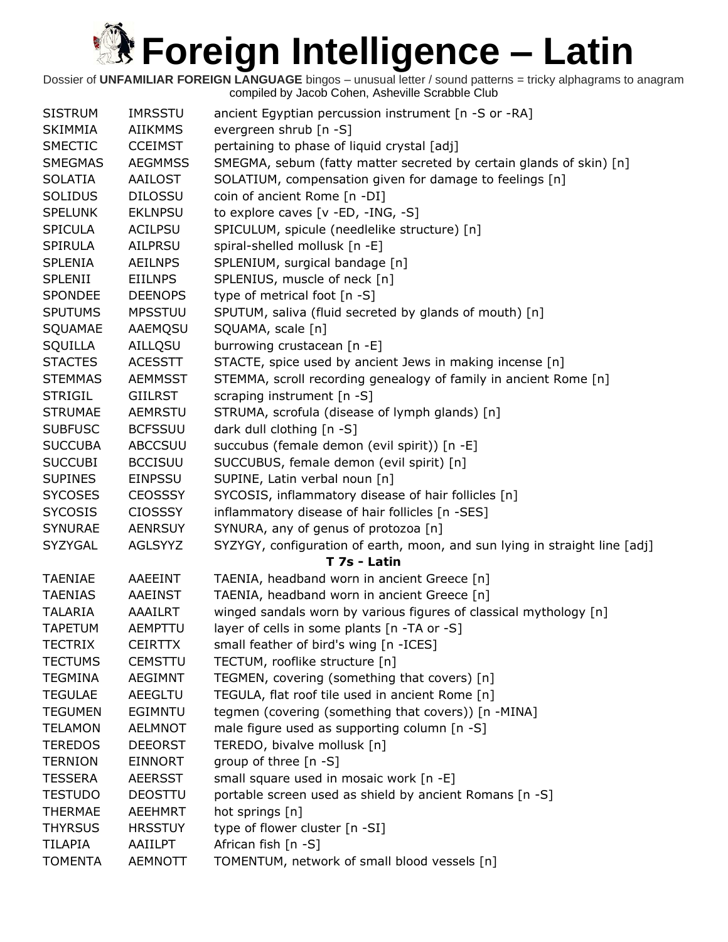| <b>SISTRUM</b> | <b>IMRSSTU</b> | ancient Egyptian percussion instrument [n -S or -RA]                       |
|----------------|----------------|----------------------------------------------------------------------------|
| <b>SKIMMIA</b> | <b>AIIKMMS</b> | evergreen shrub [n -S]                                                     |
| <b>SMECTIC</b> | <b>CCEIMST</b> | pertaining to phase of liquid crystal [adj]                                |
| <b>SMEGMAS</b> | <b>AEGMMSS</b> | SMEGMA, sebum (fatty matter secreted by certain glands of skin) [n]        |
| <b>SOLATIA</b> | <b>AAILOST</b> | SOLATIUM, compensation given for damage to feelings [n]                    |
| <b>SOLIDUS</b> | <b>DILOSSU</b> | coin of ancient Rome [n -DI]                                               |
| <b>SPELUNK</b> | <b>EKLNPSU</b> | to explore caves [v -ED, -ING, -S]                                         |
| <b>SPICULA</b> | <b>ACILPSU</b> | SPICULUM, spicule (needlelike structure) [n]                               |
| <b>SPIRULA</b> | <b>AILPRSU</b> | spiral-shelled mollusk [n -E]                                              |
| <b>SPLENIA</b> | <b>AEILNPS</b> | SPLENIUM, surgical bandage [n]                                             |
| <b>SPLENII</b> | <b>EIILNPS</b> | SPLENIUS, muscle of neck [n]                                               |
| <b>SPONDEE</b> | <b>DEENOPS</b> | type of metrical foot [n -S]                                               |
| <b>SPUTUMS</b> | <b>MPSSTUU</b> | SPUTUM, saliva (fluid secreted by glands of mouth) [n]                     |
| SQUAMAE        | AAEMQSU        | SQUAMA, scale [n]                                                          |
| SQUILLA        | AILLQSU        | burrowing crustacean [n -E]                                                |
| <b>STACTES</b> | <b>ACESSTT</b> | STACTE, spice used by ancient Jews in making incense [n]                   |
| <b>STEMMAS</b> | <b>AEMMSST</b> | STEMMA, scroll recording genealogy of family in ancient Rome [n]           |
| <b>STRIGIL</b> | <b>GIILRST</b> | scraping instrument [n -S]                                                 |
| <b>STRUMAE</b> | <b>AEMRSTU</b> | STRUMA, scrofula (disease of lymph glands) [n]                             |
| <b>SUBFUSC</b> | <b>BCFSSUU</b> | dark dull clothing [n -S]                                                  |
| <b>SUCCUBA</b> | <b>ABCCSUU</b> | succubus (female demon (evil spirit)) [n -E]                               |
| <b>SUCCUBI</b> | <b>BCCISUU</b> | SUCCUBUS, female demon (evil spirit) [n]                                   |
| <b>SUPINES</b> | <b>EINPSSU</b> | SUPINE, Latin verbal noun [n]                                              |
| <b>SYCOSES</b> | <b>CEOSSSY</b> | SYCOSIS, inflammatory disease of hair follicles [n]                        |
| <b>SYCOSIS</b> | <b>CIOSSSY</b> | inflammatory disease of hair follicles [n -SES]                            |
| <b>SYNURAE</b> | <b>AENRSUY</b> | SYNURA, any of genus of protozoa [n]                                       |
| SYZYGAL        | AGLSYYZ        | SYZYGY, configuration of earth, moon, and sun lying in straight line [adj] |
|                |                | T 7s - Latin                                                               |
| <b>TAENIAE</b> | <b>AAEEINT</b> | TAENIA, headband worn in ancient Greece [n]                                |
| <b>TAENIAS</b> | <b>AAEINST</b> | TAENIA, headband worn in ancient Greece [n]                                |
| <b>TALARIA</b> | AAAILRT        | winged sandals worn by various figures of classical mythology [n]          |
| <b>TAPETUM</b> | AEMPTTU        | layer of cells in some plants [n -TA or -S]                                |
| <b>TECTRIX</b> | <b>CEIRTTX</b> | small feather of bird's wing [n -ICES]                                     |
| <b>TECTUMS</b> | <b>CEMSTTU</b> | TECTUM, rooflike structure [n]                                             |
| <b>TEGMINA</b> | AEGIMNT        | TEGMEN, covering (something that covers) [n]                               |
| <b>TEGULAE</b> | AEEGLTU        | TEGULA, flat roof tile used in ancient Rome [n]                            |
| <b>TEGUMEN</b> | <b>EGIMNTU</b> | tegmen (covering (something that covers)) [n -MINA]                        |
| <b>TELAMON</b> | <b>AELMNOT</b> | male figure used as supporting column [n -S]                               |
| <b>TEREDOS</b> | <b>DEEORST</b> | TEREDO, bivalve mollusk [n]                                                |
| <b>TERNION</b> | EINNORT        | group of three [n -S]                                                      |
| <b>TESSERA</b> | <b>AEERSST</b> | small square used in mosaic work [n -E]                                    |
| <b>TESTUDO</b> | <b>DEOSTTU</b> | portable screen used as shield by ancient Romans [n -S]                    |
| <b>THERMAE</b> | <b>AEEHMRT</b> | hot springs [n]                                                            |
| <b>THYRSUS</b> | <b>HRSSTUY</b> | type of flower cluster [n -SI]                                             |
| <b>TILAPIA</b> | AAIILPT        | African fish [n -S]                                                        |
| <b>TOMENTA</b> | <b>AEMNOTT</b> | TOMENTUM, network of small blood vessels [n]                               |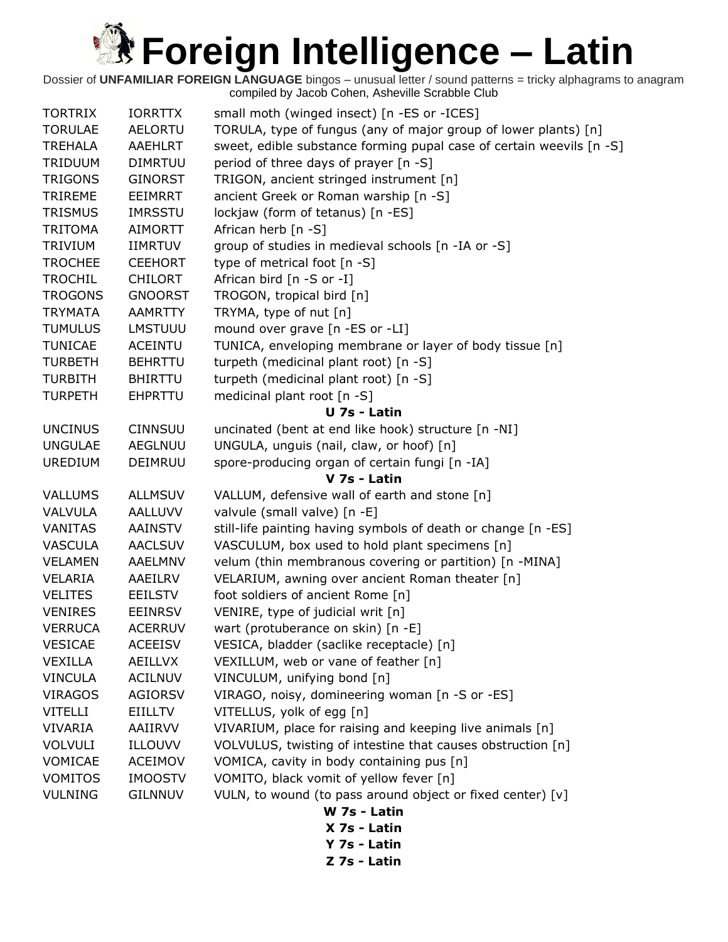| <b>TORTRIX</b> | <b>IORRTTX</b> | small moth (winged insect) [n -ES or -ICES]                          |
|----------------|----------------|----------------------------------------------------------------------|
| <b>TORULAE</b> | <b>AELORTU</b> | TORULA, type of fungus (any of major group of lower plants) [n]      |
| <b>TREHALA</b> | <b>AAEHLRT</b> | sweet, edible substance forming pupal case of certain weevils [n -S] |
| TRIDUUM        | <b>DIMRTUU</b> | period of three days of prayer [n -S]                                |
| <b>TRIGONS</b> | <b>GINORST</b> | TRIGON, ancient stringed instrument [n]                              |
| <b>TRIREME</b> | EEIMRRT        | ancient Greek or Roman warship [n -S]                                |
| <b>TRISMUS</b> | <b>IMRSSTU</b> | lockjaw (form of tetanus) [n -ES]                                    |
| <b>TRITOMA</b> | AIMORTT        | African herb [n -S]                                                  |
| <b>TRIVIUM</b> | <b>IIMRTUV</b> | group of studies in medieval schools [n -IA or -S]                   |
| <b>TROCHEE</b> | <b>CEEHORT</b> | type of metrical foot [n -S]                                         |
| <b>TROCHIL</b> | <b>CHILORT</b> | African bird [n -S or -I]                                            |
| <b>TROGONS</b> | <b>GNOORST</b> | TROGON, tropical bird [n]                                            |
| <b>TRYMATA</b> | <b>AAMRTTY</b> | TRYMA, type of nut [n]                                               |
| <b>TUMULUS</b> | LMSTUUU        | mound over grave [n -ES or -LI]                                      |
| <b>TUNICAE</b> | <b>ACEINTU</b> | TUNICA, enveloping membrane or layer of body tissue [n]              |
| <b>TURBETH</b> | <b>BEHRTTU</b> | turpeth (medicinal plant root) [n -S]                                |
| <b>TURBITH</b> | <b>BHIRTTU</b> | turpeth (medicinal plant root) [n -S]                                |
| <b>TURPETH</b> | <b>EHPRTTU</b> | medicinal plant root [n -S]                                          |
|                |                | U 7s - Latin                                                         |
| <b>UNCINUS</b> | <b>CINNSUU</b> | uncinated (bent at end like hook) structure [n -NI]                  |
| <b>UNGULAE</b> | AEGLNUU        | UNGULA, unguis (nail, claw, or hoof) [n]                             |
| <b>UREDIUM</b> | DEIMRUU        | spore-producing organ of certain fungi [n -IA]                       |
|                |                | V 7s - Latin                                                         |
| <b>VALLUMS</b> | <b>ALLMSUV</b> | VALLUM, defensive wall of earth and stone [n]                        |
| VALVULA        | AALLUVV        | valvule (small valve) [n -E]                                         |
| <b>VANITAS</b> | <b>AAINSTV</b> | still-life painting having symbols of death or change [n -ES]        |
| <b>VASCULA</b> | <b>AACLSUV</b> | VASCULUM, box used to hold plant specimens [n]                       |
| <b>VELAMEN</b> | <b>AAELMNV</b> | velum (thin membranous covering or partition) [n -MINA]              |
| VELARIA        | AAEILRV        | VELARIUM, awning over ancient Roman theater [n]                      |
| <b>VELITES</b> | <b>EEILSTV</b> | foot soldiers of ancient Rome [n]                                    |
| <b>VENIRES</b> | <b>EEINRSV</b> | VENIRE, type of judicial writ [n]                                    |
| <b>VERRUCA</b> | <b>ACERRUV</b> | wart (protuberance on skin) [n -E]                                   |
| <b>VESICAE</b> | <b>ACEEISV</b> | VESICA, bladder (saclike receptacle) [n]                             |
| VEXILLA        | <b>AEILLVX</b> | VEXILLUM, web or vane of feather [n]                                 |
| <b>VINCULA</b> | <b>ACILNUV</b> | VINCULUM, unifying bond [n]                                          |
| <b>VIRAGOS</b> | <b>AGIORSV</b> | VIRAGO, noisy, domineering woman [n -S or -ES]                       |
| <b>VITELLI</b> | <b>EIILLTV</b> | VITELLUS, yolk of egg [n]                                            |
| <b>VIVARIA</b> | AAIIRVV        | VIVARIUM, place for raising and keeping live animals [n]             |
| <b>VOLVULI</b> | ILLOUVV        | VOLVULUS, twisting of intestine that causes obstruction [n]          |
| VOMICAE        | ACEIMOV        | VOMICA, cavity in body containing pus [n]                            |
| <b>VOMITOS</b> | <b>IMOOSTV</b> | VOMITO, black vomit of yellow fever [n]                              |
| <b>VULNING</b> | <b>GILNNUV</b> | VULN, to wound (to pass around object or fixed center) [v]           |
|                |                | W 7s - Latin                                                         |
|                |                | X 7s - Latin                                                         |

- 
- **Y 7s - Latin**
- **Z 7s - Latin**